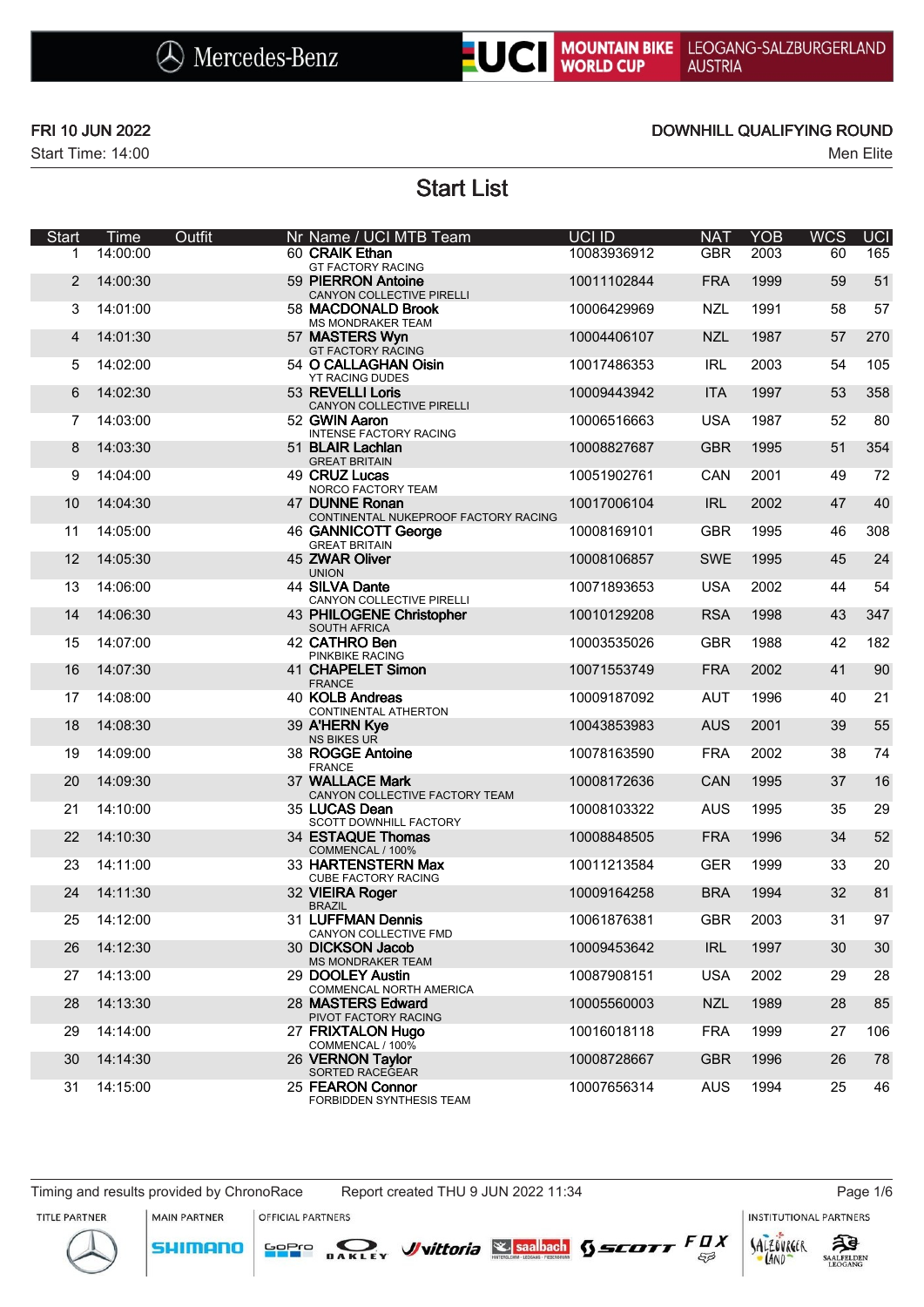# UC MOUNTAIN BIKE LEOGANG-SALZBURGERLAND<br>WORLD CUP AUSTRIA

Start Time: 14:00 Men Elite

### FRI 10 JUN 2022 DOWNHILL QUALIFYING ROUND

Start List

| Start | Time     | Outfit | Nr Name / UCI MTB Team                                 | UCI ID      | <b>NAT</b> | <b>YOB</b> | <b>WCS</b> | <b>UCI</b> |
|-------|----------|--------|--------------------------------------------------------|-------------|------------|------------|------------|------------|
| 1     | 14:00:00 |        | 60 CRAIK Ethan<br><b>GT FACTORY RACING</b>             | 10083936912 | <b>GBR</b> | 2003       | 60         | 165        |
| 2     | 14:00:30 |        | 59 PIERRON Antoine<br>CANYON COLLECTIVE PIRELLI        | 10011102844 | <b>FRA</b> | 1999       | 59         | 51         |
| 3     | 14:01:00 |        | 58 MACDONALD Brook<br>MS MONDRAKER TEAM                | 10006429969 | <b>NZL</b> | 1991       | 58         | 57         |
| 4     | 14:01:30 |        | 57 MASTERS Wyn<br>GT FACTORY RACING                    | 10004406107 | <b>NZL</b> | 1987       | 57         | 270        |
| 5     | 14:02:00 |        | 54 O CALLAGHAN Oisin<br>YT RACING DUDES                | 10017486353 | <b>IRL</b> | 2003       | 54         | 105        |
| 6     | 14:02:30 |        | 53 REVELLI Loris<br>CANYON COLLECTIVE PIRELLI          | 10009443942 | <b>ITA</b> | 1997       | 53         | 358        |
| 7     | 14:03:00 |        | 52 GWIN Aaron<br><b>INTENSE FACTORY RACING</b>         | 10006516663 | <b>USA</b> | 1987       | 52         | 80         |
| 8     | 14:03:30 |        | 51 BLAIR Lachlan<br><b>GREAT BRITAIN</b>               | 10008827687 | <b>GBR</b> | 1995       | 51         | 354        |
| 9     | 14:04:00 |        | 49 CRUZ Lucas<br>NORCO FACTORY TEAM                    | 10051902761 | <b>CAN</b> | 2001       | 49         | 72         |
| 10    | 14:04:30 |        | 47 DUNNE Ronan<br>CONTINENTAL NUKEPROOF FACTORY RACING | 10017006104 | <b>IRL</b> | 2002       | 47         | 40         |
| 11    | 14:05:00 |        | 46 GANNICOTT George<br><b>GREAT BRITAIN</b>            | 10008169101 | <b>GBR</b> | 1995       | 46         | 308        |
| 12    | 14:05:30 |        | 45 ZWAR Oliver<br><b>UNION</b>                         | 10008106857 | <b>SWE</b> | 1995       | 45         | 24         |
| 13    | 14:06:00 |        | 44 SILVA Dante<br>CANYON COLLECTIVE PIRELLI            | 10071893653 | <b>USA</b> | 2002       | 44         | 54         |
| 14    | 14:06:30 |        | 43 PHILOGENE Christopher<br>SOUTH AFRICA               | 10010129208 | <b>RSA</b> | 1998       | 43         | 347        |
| 15    | 14:07:00 |        | 42 CATHRO Ben<br>PINKBIKE RACING                       | 10003535026 | <b>GBR</b> | 1988       | 42         | 182        |
| 16    | 14:07:30 |        | 41 CHAPELET Simon<br><b>FRANCE</b>                     | 10071553749 | <b>FRA</b> | 2002       | 41         | 90         |
| 17    | 14:08:00 |        | 40 KOLB Andreas<br>CONTINENTAL ATHERTON                | 10009187092 | <b>AUT</b> | 1996       | 40         | 21         |
| 18    | 14:08:30 |        | 39 A'HERN Kye<br><b>NS BIKES UR</b>                    | 10043853983 | <b>AUS</b> | 2001       | 39         | 55         |
| 19    | 14:09:00 |        | 38 ROGGE Antoine<br><b>FRANCE</b>                      | 10078163590 | <b>FRA</b> | 2002       | 38         | 74         |
| 20    | 14:09:30 |        | 37 WALLACE Mark<br>CANYON COLLECTIVE FACTORY TEAM      | 10008172636 | CAN        | 1995       | 37         | 16         |
| 21    | 14:10:00 |        | 35 LUCAS Dean<br>SCOTT DOWNHILL FACTORY                | 10008103322 | <b>AUS</b> | 1995       | 35         | 29         |
| 22    | 14:10:30 |        | 34 ESTAQUE Thomas<br>COMMENCAL / 100%                  | 10008848505 | <b>FRA</b> | 1996       | 34         | 52         |
| 23    | 14:11:00 |        | 33 HARTENSTERN Max<br>CUBE FACTORY RACING              | 10011213584 | <b>GER</b> | 1999       | 33         | 20         |
| 24    | 14:11:30 |        | 32 VIEIRA Roger<br><b>BRAZIL</b>                       | 10009164258 | <b>BRA</b> | 1994       | 32         | 81         |
| 25    | 14:12:00 |        | 31 LUFFMAN Dennis<br>CANYON COLLECTIVE FMD             | 10061876381 | <b>GBR</b> | 2003       | 31         | 97         |
| 26    | 14:12:30 |        | 30 DICKSON Jacob<br><b>MS MONDRAKER TEAM</b>           | 10009453642 | <b>IRL</b> | 1997       | 30         | 30         |
| 27    | 14:13:00 |        | 29 DOOLEY Austin<br>COMMENCAL NORTH AMERICA            | 10087908151 | <b>USA</b> | 2002       | 29         | 28         |
| 28    | 14:13:30 |        | 28 MASTERS Edward<br>PIVOT FACTORY RACING              | 10005560003 | <b>NZL</b> | 1989       | 28         | 85         |
| 29    | 14:14:00 |        | 27 FRIXTALON Hugo<br>COMMENCAL / 100%                  | 10016018118 | <b>FRA</b> | 1999       | 27         | 106        |
| 30    | 14:14:30 |        | 26 VERNON Taylor<br>SORTED RACEGEAR                    | 10008728667 | <b>GBR</b> | 1996       | 26         | 78         |
| 31    | 14:15:00 |        | 25 FEARON Connor<br>FORBIDDEN SYNTHESIS TEAM           | 10007656314 | <b>AUS</b> | 1994       | 25         | 46         |

**MAIN PARTNER** 

**SHIMANO** 

**OFFICIAL PARTNERS** 

SOPIO DAKLEY Vittoria & saabach SSCOTT FUX

**INSTITUTIONAL PARTNERS** 



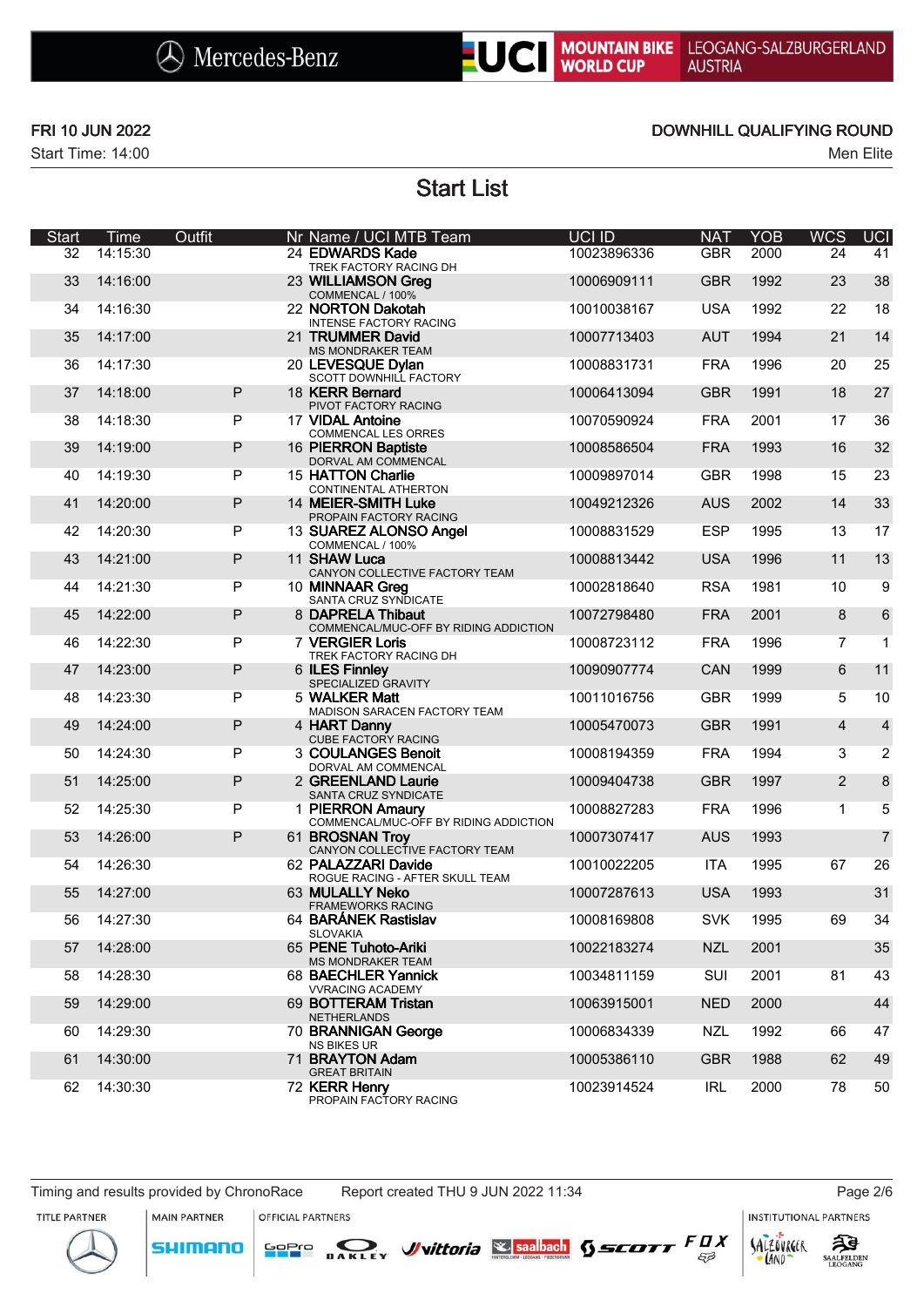

## UCI MOUNTAIN BIKE LEOGANG-SALZBURGERLAND<br>WORLD CUP AUSTRIA

Start Time: 14:00 Men Elite

### FRI 10 JUN 2022 DOWNHILL QUALIFYING ROUND

Start List

| <b>Start</b> | Time     | Outfit | Nr Name / UCI MTB Team                                     | UCI ID      | <b>NAT</b> | <b>YOB</b> | <b>WCS</b>     | <b>UCI</b>     |
|--------------|----------|--------|------------------------------------------------------------|-------------|------------|------------|----------------|----------------|
| 32           | 14:15:30 |        | 24 EDWARDS Kade<br>TREK FACTORY RACING DH                  | 10023896336 | <b>GBR</b> | 2000       | 24             | 41             |
| 33           | 14:16:00 |        | 23 WILLIAMSON Greg<br>COMMENCAL / 100%                     | 10006909111 | <b>GBR</b> | 1992       | 23             | 38             |
| 34           | 14:16:30 |        | 22 NORTON Dakotah<br><b>INTENSE FACTORY RACING</b>         | 10010038167 | <b>USA</b> | 1992       | 22             | 18             |
| 35           | 14:17:00 |        | 21 TRUMMER David<br>MS MONDRAKER TEAM                      | 10007713403 | <b>AUT</b> | 1994       | 21             | 14             |
| 36           | 14:17:30 |        | 20 LEVESQUE Dylan<br>SCOTT DOWNHILL FACTORY                | 10008831731 | <b>FRA</b> | 1996       | 20             | 25             |
| 37           | 14:18:00 | P      | 18 KERR Bernard<br>PIVOT FACTORY RACING                    | 10006413094 | <b>GBR</b> | 1991       | 18             | 27             |
| 38           | 14:18:30 | P      | 17 VIDAL Antoine<br>COMMENCAL LES ORRES                    | 10070590924 | <b>FRA</b> | 2001       | 17             | 36             |
| 39           | 14:19:00 | P      | 16 PIERRON Baptiste<br>DORVAL AM COMMENCAL                 | 10008586504 | <b>FRA</b> | 1993       | 16             | 32             |
| 40           | 14:19:30 | P      | 15 HATTON Charlie<br>CONTINENTAL ATHERTON                  | 10009897014 | <b>GBR</b> | 1998       | 15             | 23             |
| 41           | 14:20:00 | P      | 14 MEIER-SMITH Luke<br>PROPAIN FACTORY RACING              | 10049212326 | <b>AUS</b> | 2002       | 14             | 33             |
| 42           | 14:20:30 | P      | 13 SUAREZ ALONSO Angel<br>COMMENCAL / 100%                 | 10008831529 | <b>ESP</b> | 1995       | 13             | 17             |
| 43           | 14:21:00 | P      | 11 SHAW Luca<br>CANYON COLLECTIVE FACTORY TEAM             | 10008813442 | <b>USA</b> | 1996       | 11             | 13             |
| 44           | 14:21:30 | P      | 10 MINNAAR Greg<br>SANTA CRUZ SYNDICATE                    | 10002818640 | <b>RSA</b> | 1981       | 10             | 9              |
| 45           | 14:22:00 | P      | 8 DAPRELA Thibaut<br>COMMENCAL/MUC-OFF BY RIDING ADDICTION | 10072798480 | <b>FRA</b> | 2001       | 8              | $\,6$          |
| 46           | 14:22:30 | P      | 7 VERGIER Loris<br>TREK FACTORY RACING DH                  | 10008723112 | <b>FRA</b> | 1996       | 7              | $\mathbf{1}$   |
| 47           | 14:23:00 | P      | 6 ILES Finnley<br>SPECIALIZED GRAVITY                      | 10090907774 | CAN        | 1999       | $6\phantom{1}$ | 11             |
| 48           | 14:23:30 | P      | 5 WALKER Matt<br>MADISON SARACEN FACTORY TEAM              | 10011016756 | <b>GBR</b> | 1999       | 5              | 10             |
| 49           | 14:24:00 | P      | 4 HART Danny<br>CUBE FACTORY RACING                        | 10005470073 | <b>GBR</b> | 1991       | $\overline{4}$ | $\overline{4}$ |
| 50           | 14:24:30 | P      | 3 COULANGES Benoit<br>DORVAL AM COMMENCAL                  | 10008194359 | <b>FRA</b> | 1994       | 3              | $\overline{2}$ |
| 51           | 14:25:00 | P      | 2 GREENLAND Laurie<br>SANTA CRUZ SYNDICATE                 | 10009404738 | <b>GBR</b> | 1997       | 2              | 8              |
| 52           | 14:25:30 | P      | 1 PIERRON Amaury<br>COMMENCAL/MUC-OFF BY RIDING ADDICTION  | 10008827283 | <b>FRA</b> | 1996       | $\mathbf{1}$   | 5              |
| 53           | 14:26:00 | P      | 61 BROSNAN Troy<br>CANYON COLLECTIVE FACTORY TEAM          | 10007307417 | <b>AUS</b> | 1993       |                | $\overline{7}$ |
| 54           | 14:26:30 |        | 62 PALAZZARI Davide<br>ROGUE RACING - AFTER SKULL TEAM     | 10010022205 | <b>ITA</b> | 1995       | 67             | 26             |
| 55           | 14:27:00 |        | 63 MULALLY Neko<br><b>FRAMEWORKS RACING</b>                | 10007287613 | <b>USA</b> | 1993       |                | 31             |
| 56           | 14:27:30 |        | 64 BARÁNEK Rastislav<br><b>SLOVAKIA</b>                    | 10008169808 | <b>SVK</b> | 1995       | 69             | 34             |
| 57           | 14:28:00 |        | 65 PENE Tuhoto-Ariki<br><b>MS MONDRAKER TEAM</b>           | 10022183274 | <b>NZL</b> | 2001       |                | 35             |
| 58           | 14:28:30 |        | 68 BAECHLER Yannick<br><b>VVRACING ACADEMY</b>             | 10034811159 | SUI        | 2001       | 81             | 43             |
| 59           | 14:29:00 |        | 69 BOTTERAM Tristan<br><b>NETHERLANDS</b>                  | 10063915001 | <b>NED</b> | 2000       |                | 44             |
| 60           | 14:29:30 |        | 70 BRANNIGAN George<br>NS BIKES UR                         | 10006834339 | <b>NZL</b> | 1992       | 66             | 47             |
| 61           | 14:30:00 |        | 71 BRAYTON Adam<br><b>GREAT BRITAIN</b>                    | 10005386110 | <b>GBR</b> | 1988       | 62             | 49             |
| 62           | 14:30:30 |        | 72 KERR Henry<br>PROPAIN FACTORY RACING                    | 10023914524 | IRL        | 2000       | 78             | 50             |

Timing and results provided by ChronoRace Report created THU 9 JUN 2022 11:34 Page 2/6

MAIN PARTNER

**SHIMANO** 

**OFFICIAL PARTNERS** 

**INSTITUTIONAL PARTNERS** 





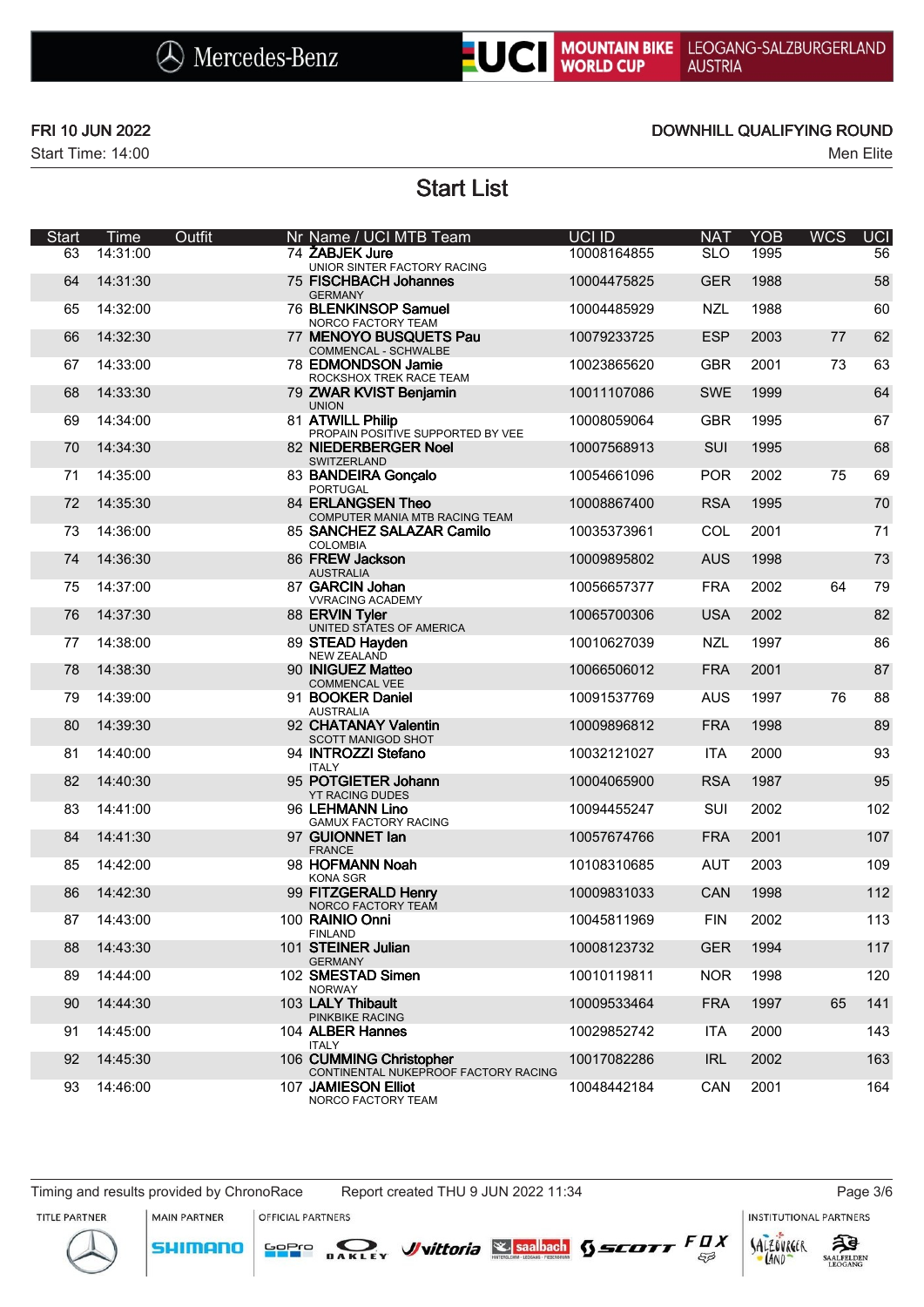

## LOC MOUNTAIN BIKE LEOGANG-SALZBURGERLAND

Start Time: 14:00 Men Elite

### FRI 10 JUN 2022 DOWNHILL QUALIFYING ROUND

Start List

| <b>Start</b> | Time     | Outfit | Nr Name / UCI MTB Team                                          | <b>UCI ID</b> | <b>NAT</b> | <b>YOB</b> | <b>WCS</b> | <b>UCI</b> |
|--------------|----------|--------|-----------------------------------------------------------------|---------------|------------|------------|------------|------------|
| 63           | 14:31:00 |        | 74 ŽABJEK Jure<br>UNIOR SINTER FACTORY RACING                   | 10008164855   | <b>SLO</b> | 1995       |            | 56         |
| 64           | 14:31:30 |        | 75 FISCHBACH Johannes<br><b>GERMANY</b>                         | 10004475825   | <b>GER</b> | 1988       |            | 58         |
| 65           | 14:32:00 |        | 76 BLENKINSOP Samuel<br>NORCO FACTORY TEAM                      | 10004485929   | <b>NZL</b> | 1988       |            | 60         |
| 66           | 14:32:30 |        | 77 MENOYO BUSQUETS Pau<br>COMMENCAL - SCHWALBE                  | 10079233725   | <b>ESP</b> | 2003       | 77         | 62         |
| 67           | 14:33:00 |        | 78 EDMONDSON Jamie<br>ROCKSHOX TREK RACE TEAM                   | 10023865620   | <b>GBR</b> | 2001       | 73         | 63         |
| 68           | 14:33:30 |        | 79 ZWAR KVIST Benjamin<br><b>UNION</b>                          | 10011107086   | <b>SWE</b> | 1999       |            | 64         |
| 69           | 14:34:00 |        | 81 ATWILL Philip<br>PROPAIN POSITIVE SUPPORTED BY VEE           | 10008059064   | <b>GBR</b> | 1995       |            | 67         |
| 70           | 14:34:30 |        | 82 NIEDERBERGER Noel<br>SWITZERLAND                             | 10007568913   | SUI        | 1995       |            | 68         |
| 71           | 14:35:00 |        | 83 BANDEIRA Gonçalo<br><b>PORTUGAL</b>                          | 10054661096   | <b>POR</b> | 2002       | 75         | 69         |
| 72           | 14:35:30 |        | 84 ERLANGSEN Theo<br>COMPUTER MANIA MTB RACING TEAM             | 10008867400   | <b>RSA</b> | 1995       |            | 70         |
| 73           | 14:36:00 |        | 85 SANCHEZ SALAZAR Camilo<br><b>COLOMBIA</b>                    | 10035373961   | COL        | 2001       |            | 71         |
| 74           | 14:36:30 |        | 86 FREW Jackson<br><b>AUSTRALIA</b>                             | 10009895802   | <b>AUS</b> | 1998       |            | 73         |
| 75           | 14:37:00 |        | 87 GARCIN Johan<br><b>VVRACING ACADEMY</b>                      | 10056657377   | <b>FRA</b> | 2002       | 64         | 79         |
| 76           | 14:37:30 |        | 88 ERVIN Tyler<br>UNITED STATES OF AMERICA                      | 10065700306   | <b>USA</b> | 2002       |            | 82         |
| 77           | 14:38:00 |        | 89 STEAD Hayden<br><b>NEW ZEALAND</b>                           | 10010627039   | <b>NZL</b> | 1997       |            | 86         |
| 78           | 14:38:30 |        | 90 INIGUEZ Matteo<br>COMMENCAL VEE                              | 10066506012   | <b>FRA</b> | 2001       |            | 87         |
| 79           | 14:39:00 |        | 91 BOOKER Daniel<br><b>AUSTRALIA</b>                            | 10091537769   | <b>AUS</b> | 1997       | 76         | 88         |
| 80           | 14:39:30 |        | 92 CHATANAY Valentin<br>SCOTT MANIGOD SHOT                      | 10009896812   | <b>FRA</b> | 1998       |            | 89         |
| 81           | 14:40:00 |        | 94 INTROZZI Stefano<br><b>ITALY</b>                             | 10032121027   | <b>ITA</b> | 2000       |            | 93         |
| 82           | 14:40:30 |        | 95 POTGIETER Johann<br><b>YT RACING DUDES</b>                   | 10004065900   | <b>RSA</b> | 1987       |            | 95         |
| 83           | 14:41:00 |        | 96 LEHMANN Lino<br><b>GAMUX FACTORY RACING</b>                  | 10094455247   | SUI        | 2002       |            | 102        |
| 84           | 14:41:30 |        | 97 GUIONNET lan<br><b>FRANCE</b>                                | 10057674766   | <b>FRA</b> | 2001       |            | 107        |
| 85           | 14:42:00 |        | 98 HOFMANN Noah<br><b>KONA SGR</b>                              | 10108310685   | <b>AUT</b> | 2003       |            | 109        |
| 86           | 14:42:30 |        | 99 FITZGERALD Henry<br>NORCO FACTORY TEAM                       | 10009831033   | CAN        | 1998       |            | 112        |
| 87           | 14:43:00 |        | 100 RAINIO Onni<br><b>FINLAND</b>                               | 10045811969   | <b>FIN</b> | 2002       |            | 113        |
| 88           | 14:43:30 |        | 101 STEINER Julian<br><b>GERMANY</b>                            | 10008123732   | <b>GER</b> | 1994       |            | 117        |
| 89           | 14:44:00 |        | 102 SMESTAD Simen<br><b>NORWAY</b>                              | 10010119811   | <b>NOR</b> | 1998       |            | 120        |
| 90           | 14:44:30 |        | 103 LALY Thibault<br>PINKBIKE RACING                            | 10009533464   | <b>FRA</b> | 1997       | 65         | 141        |
| 91           | 14:45:00 |        | 104 ALBER Hannes<br><b>ITALY</b>                                | 10029852742   | ITA        | 2000       |            | 143        |
| 92           | 14:45:30 |        | 106 CUMMING Christopher<br>CONTINENTAL NUKEPROOF FACTORY RACING | 10017082286   | <b>IRL</b> | 2002       |            | 163        |
| 93           | 14:46:00 |        | 107 JAMIESON Elliot<br>NORCO FACTORY TEAM                       | 10048442184   | CAN        | 2001       |            | 164        |

**MAIN PARTNER** 

SHIMANO

**OFFICIAL PARTNERS** 

**INSTITUTIONAL PARTNERS** 

TITLE PARTNER



SALZOVREER ट्रीडे **SAALFELDEN** 

LAND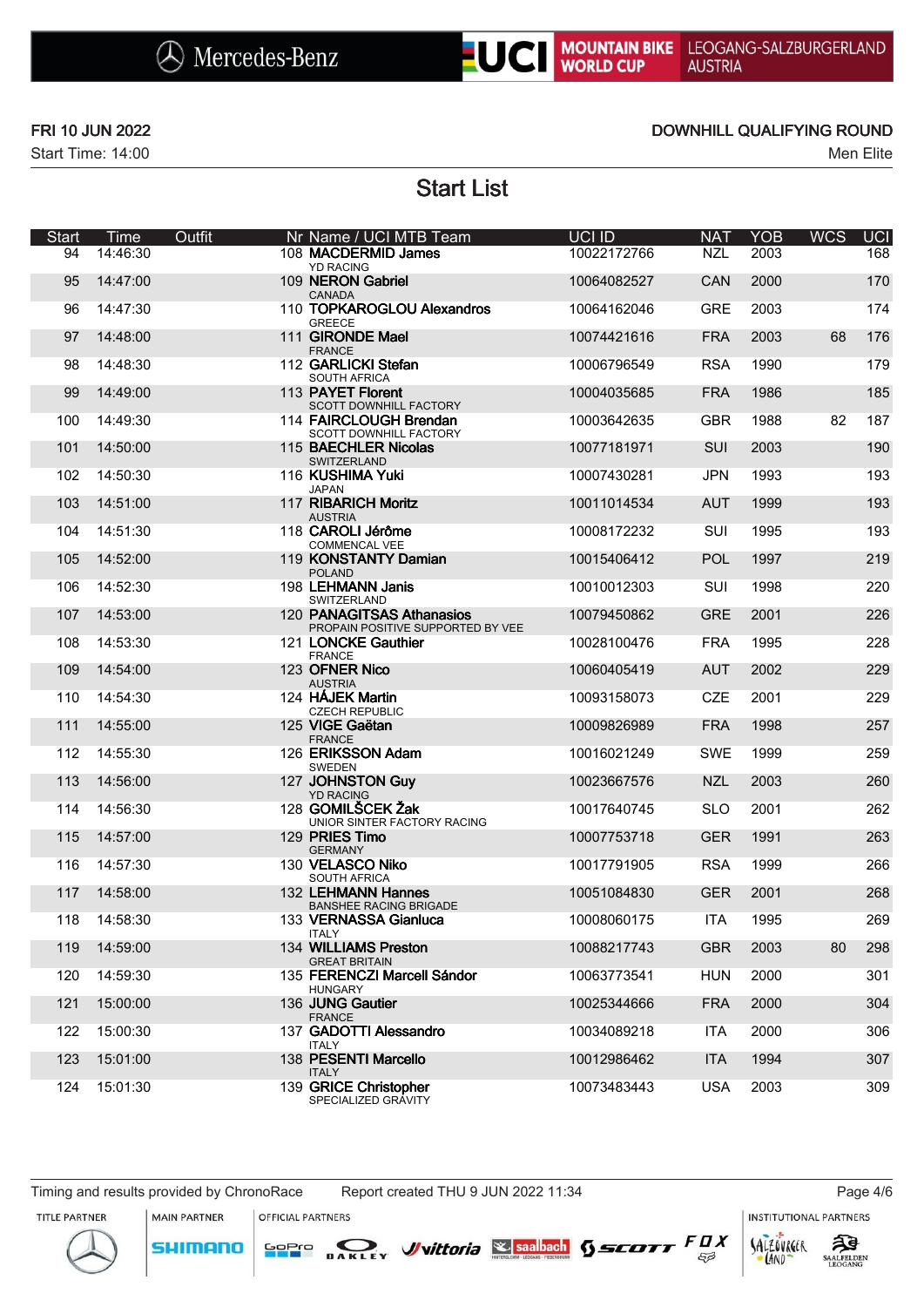## UCI MOUNTAIN BIKE LEOGANG-SALZBURGERLAND<br>WORLD CUP AUSTRIA

Start Time: 14:00 Men Elite

### FRI 10 JUN 2022 DOWNHILL QUALIFYING ROUND

Start List

| <b>Start</b> | Time     | Outfit | Nr Name / UCI MTB Team                                         | UCI ID      | <b>NAT</b> | <b>YOB</b> | <b>WCS</b> | <b>UCI</b> |
|--------------|----------|--------|----------------------------------------------------------------|-------------|------------|------------|------------|------------|
| 94           | 14:46:30 |        | 108 MACDERMID James<br><b>YD RACING</b>                        | 10022172766 | <b>NZL</b> | 2003       |            | 168        |
| 95           | 14:47:00 |        | 109 NERON Gabriel<br><b>CANADA</b>                             | 10064082527 | CAN        | 2000       |            | 170        |
| 96           | 14:47:30 |        | 110 TOPKAROGLOU Alexandros<br><b>GREECE</b>                    | 10064162046 | <b>GRE</b> | 2003       |            | 174        |
| 97           | 14:48:00 |        | 111 GIRONDE Mael<br><b>FRANCE</b>                              | 10074421616 | <b>FRA</b> | 2003       | 68         | 176        |
| 98           | 14:48:30 |        | 112 GARLICKI Stefan<br>SOUTH AFRICA                            | 10006796549 | <b>RSA</b> | 1990       |            | 179        |
| 99           | 14:49:00 |        | 113 PAYET Florent<br>SCOTT DOWNHILL FACTORY                    | 10004035685 | <b>FRA</b> | 1986       |            | 185        |
| 100          | 14:49:30 |        | 114 FAIRCLOUGH Brendan<br><b>SCOTT DOWNHILL FACTORY</b>        | 10003642635 | <b>GBR</b> | 1988       | 82         | 187        |
| 101          | 14:50:00 |        | 115 BAECHLER Nicolas<br>SWITZERLAND                            | 10077181971 | SUI        | 2003       |            | 190        |
| 102          | 14:50:30 |        | 116 KUSHIMA Yuki<br><b>JAPAN</b>                               | 10007430281 | <b>JPN</b> | 1993       |            | 193        |
| 103          | 14:51:00 |        | 117 RIBARICH Moritz<br><b>AUSTRIA</b>                          | 10011014534 | <b>AUT</b> | 1999       |            | 193        |
| 104          | 14:51:30 |        | 118 CAROLI Jérôme<br><b>COMMENCAL VEE</b>                      | 10008172232 | SUI        | 1995       |            | 193        |
| 105          | 14:52:00 |        | 119 KONSTANTY Damian<br><b>POLAND</b>                          | 10015406412 | <b>POL</b> | 1997       |            | 219        |
| 106          | 14:52:30 |        | 198 LEHMANN Janis<br>SWITZERLAND                               | 10010012303 | SUI        | 1998       |            | 220        |
| 107          | 14:53:00 |        | 120 PANAGITSAS Athanasios<br>PROPAIN POSITIVE SUPPORTED BY VEE | 10079450862 | <b>GRE</b> | 2001       |            | 226        |
| 108          | 14:53:30 |        | 121 LONCKE Gauthier<br><b>FRANCE</b>                           | 10028100476 | <b>FRA</b> | 1995       |            | 228        |
| 109          | 14:54:00 |        | 123 OFNER Nico<br><b>AUSTRIA</b>                               | 10060405419 | <b>AUT</b> | 2002       |            | 229        |
| 110          | 14:54:30 |        | 124 HÁJEK Martin<br><b>CZECH REPUBLIC</b>                      | 10093158073 | <b>CZE</b> | 2001       |            | 229        |
| 111          | 14:55:00 |        | 125 VIGE Gaëtan<br><b>FRANCE</b>                               | 10009826989 | <b>FRA</b> | 1998       |            | 257        |
| 112          | 14:55:30 |        | 126 ERIKSSON Adam<br>SWEDEN                                    | 10016021249 | <b>SWE</b> | 1999       |            | 259        |
| 113          | 14:56:00 |        | 127 JOHNSTON Guy<br><b>YD RACING</b>                           | 10023667576 | <b>NZL</b> | 2003       |            | 260        |
| 114          | 14:56:30 |        | 128 GOMILŠCEK Žak<br>UNIOR SINTER FACTORY RACING               | 10017640745 | <b>SLO</b> | 2001       |            | 262        |
| 115          | 14:57:00 |        | 129 PRIES Timo<br><b>GERMANY</b>                               | 10007753718 | <b>GER</b> | 1991       |            | 263        |
| 116          | 14:57:30 |        | 130 VELASCO Niko<br><b>SOUTH AFRICA</b>                        | 10017791905 | <b>RSA</b> | 1999       |            | 266        |
| 117          | 14:58:00 |        | 132 LEHMANN Hannes<br><b>BANSHEE RACING BRIGADE</b>            | 10051084830 | <b>GER</b> | 2001       |            | 268        |
| 118          | 14:58:30 |        | 133 VERNASSA Gianluca<br><b>ITALY</b>                          | 10008060175 | ITA        | 1995       |            | 269        |
| 119          | 14:59:00 |        | 134 WILLIAMS Preston<br><b>GREAT BRITAIN</b>                   | 10088217743 | <b>GBR</b> | 2003       | 80         | 298        |
| 120          | 14:59:30 |        | 135 FERENCZI Marcell Sándor<br><b>HUNGARY</b>                  | 10063773541 | <b>HUN</b> | 2000       |            | 301        |
| 121          | 15:00:00 |        | 136 JUNG Gautier<br><b>FRANCE</b>                              | 10025344666 | <b>FRA</b> | 2000       |            | 304        |
| 122          | 15:00:30 |        | 137 GADOTTI Alessandro<br><b>ITALY</b>                         | 10034089218 | <b>ITA</b> | 2000       |            | 306        |
| 123          | 15:01:00 |        | 138 PESENTI Marcello<br><b>ITALY</b>                           | 10012986462 | <b>ITA</b> | 1994       |            | 307        |
| 124          | 15:01:30 |        | 139 GRICE Christopher<br>SPECIALIZED GRAVITY                   | 10073483443 | <b>USA</b> | 2003       |            | 309        |

**MAIN PARTNER** 

**SHIMANO** 

**OFFICIAL PARTNERS** 

<mark>GoPr</mark>o

DAKLEY Vittoria Ssaalbach  $955677$   $FQX$ 

**INSTITUTIONAL PARTNERS** 



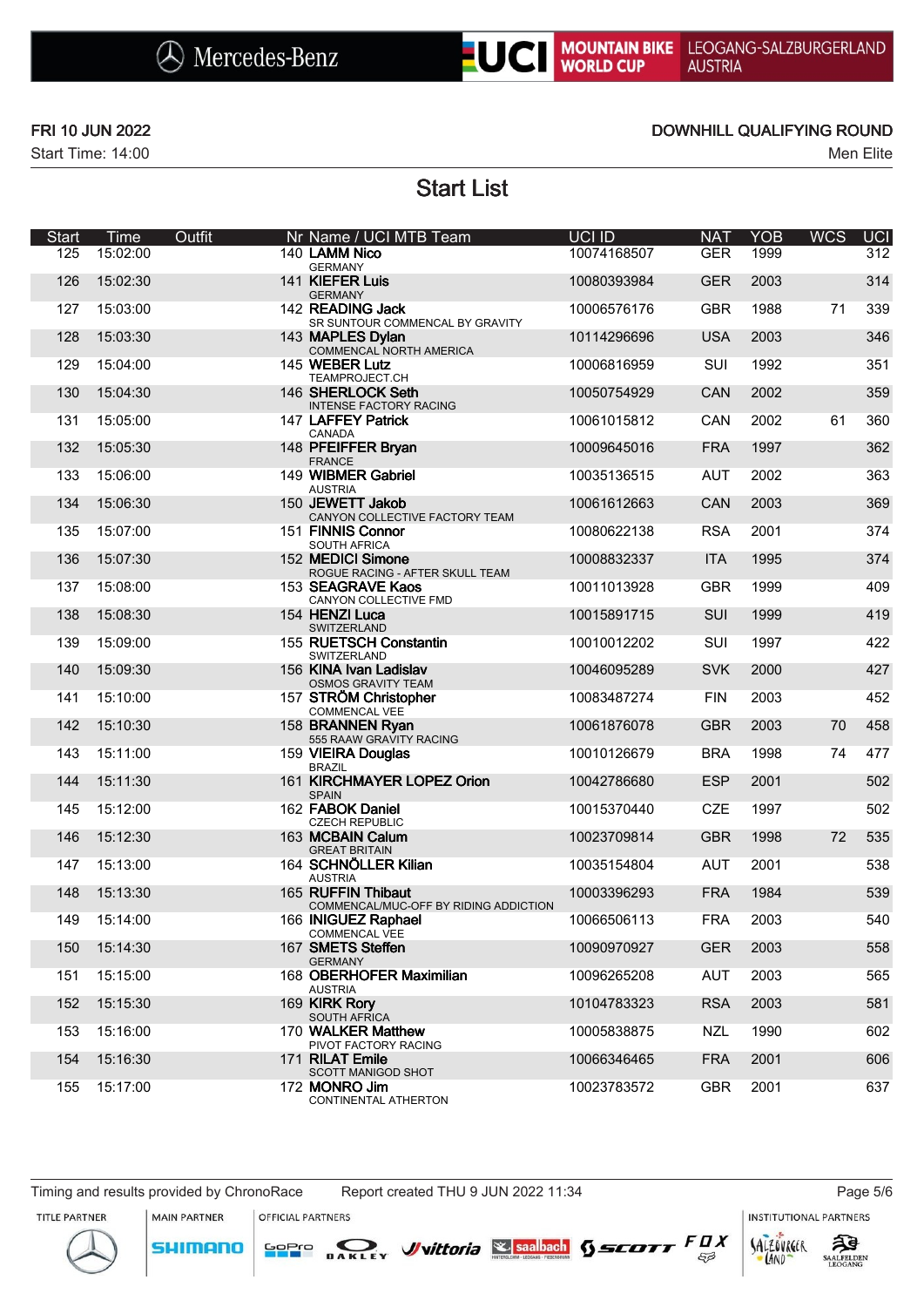# UC MOUNTAIN BIKE LEOGANG-SALZBURGERLAND<br>WORLD CUP AUSTRIA

Start Time: 14:00 Men Elite

### FRI 10 JUN 2022 DOWNHILL QUALIFYING ROUND

Start List

| <b>Start</b> | <b>Time</b> | Outfit | Nr Name / UCI MTB Team                                      | UCI ID      | <b>NAT</b> | <b>YOB</b> | <b>WCS</b> | $\overline{UCI}$ |
|--------------|-------------|--------|-------------------------------------------------------------|-------------|------------|------------|------------|------------------|
| 125          | 15:02:00    |        | 140 LAMM Nico<br><b>GERMANY</b>                             | 10074168507 | <b>GER</b> | 1999       |            | 312              |
| 126          | 15:02:30    |        | 141 KIEFER Luis<br><b>GERMANY</b>                           | 10080393984 | <b>GER</b> | 2003       |            | 314              |
| 127          | 15:03:00    |        | 142 READING Jack<br>SR SUNTOUR COMMENCAL BY GRAVITY         | 10006576176 | <b>GBR</b> | 1988       | 71         | 339              |
| 128          | 15:03:30    |        | 143 MAPLES Dylan<br>COMMENCAL NORTH AMERICA                 | 10114296696 | <b>USA</b> | 2003       |            | 346              |
| 129          | 15:04:00    |        | 145 WEBER Lutz<br>TEAMPROJECT.CH                            | 10006816959 | SUI        | 1992       |            | 351              |
| 130          | 15:04:30    |        | 146 SHERLOCK Seth<br><b>INTENSE FACTORY RACING</b>          | 10050754929 | CAN        | 2002       |            | 359              |
| 131          | 15:05:00    |        | 147 LAFFEY Patrick<br>CANADA                                | 10061015812 | CAN        | 2002       | 61         | 360              |
| 132          | 15:05:30    |        | 148 PFEIFFER Bryan<br><b>FRANCE</b>                         | 10009645016 | <b>FRA</b> | 1997       |            | 362              |
| 133          | 15:06:00    |        | 149 WIBMER Gabriel<br><b>AUSTRIA</b>                        | 10035136515 | <b>AUT</b> | 2002       |            | 363              |
| 134          | 15:06:30    |        | 150 JEWETT Jakob<br>CANYON COLLECTIVE FACTORY TEAM          | 10061612663 | CAN        | 2003       |            | 369              |
| 135          | 15:07:00    |        | 151 FINNIS Connor<br>SOUTH AFRICA                           | 10080622138 | <b>RSA</b> | 2001       |            | 374              |
| 136          | 15:07:30    |        | 152 MEDICI Simone<br>ROGUE RACING - AFTER SKULL TEAM        | 10008832337 | <b>ITA</b> | 1995       |            | 374              |
| 137          | 15:08:00    |        | 153 SEAGRAVE Kaos<br>CANYON COLLECTIVE FMD                  | 10011013928 | <b>GBR</b> | 1999       |            | 409              |
| 138          | 15:08:30    |        | 154 HENZI Luca<br>SWITZERLAND                               | 10015891715 | SUI        | 1999       |            | 419              |
| 139          | 15:09:00    |        | 155 RUETSCH Constantin<br>SWITZERLAND                       | 10010012202 | SUI        | 1997       |            | 422              |
| 140          | 15:09:30    |        | 156 KINA Ivan Ladislav<br>OSMOS GRAVITY TEAM                | 10046095289 | <b>SVK</b> | 2000       |            | 427              |
| 141          | 15:10:00    |        | 157 STRÖM Christopher<br><b>COMMENCAL VEE</b>               | 10083487274 | <b>FIN</b> | 2003       |            | 452              |
| 142          | 15:10:30    |        | 158 BRANNEN Ryan<br>555 RAAW GRAVITY RACING                 | 10061876078 | <b>GBR</b> | 2003       | 70         | 458              |
| 143          | 15:11:00    |        | 159 VIEIRA Douglas<br><b>BRAZIL</b>                         | 10010126679 | <b>BRA</b> | 1998       | 74         | 477              |
| 144          | 15:11:30    |        | 161 KIRCHMAYER LOPEZ Orion<br><b>SPAIN</b>                  | 10042786680 | <b>ESP</b> | 2001       |            | 502              |
| 145          | 15:12:00    |        | 162 FABOK Daniel<br><b>CZECH REPUBLIC</b>                   | 10015370440 | <b>CZE</b> | 1997       |            | 502              |
| 146          | 15:12:30    |        | 163 MCBAIN Calum<br><b>GREAT BRITAIN</b>                    | 10023709814 | <b>GBR</b> | 1998       | 72         | 535              |
| 147          | 15:13:00    |        | 164 SCHNÖLLER Kilian<br><b>AUSTRIA</b>                      | 10035154804 | <b>AUT</b> | 2001       |            | 538              |
| 148          | 15:13:30    |        | 165 RUFFIN Thibaut<br>COMMENCAL/MUC-OFF BY RIDING ADDICTION | 10003396293 | <b>FRA</b> | 1984       |            | 539              |
| 149          | 15:14:00    |        | 166 INIGUEZ Raphael<br>COMMENCAL VEE                        | 10066506113 | <b>FRA</b> | 2003       |            | 540              |
| 150          | 15:14:30    |        | 167 SMETS Steffen<br><b>GERMANY</b>                         | 10090970927 | <b>GER</b> | 2003       |            | 558              |
| 151          | 15:15:00    |        | 168 OBERHOFER Maximilian<br><b>AUSTRIA</b>                  | 10096265208 | <b>AUT</b> | 2003       |            | 565              |
| 152          | 15:15:30    |        | 169 KIRK Rory<br>SOUTH AFRICA                               | 10104783323 | <b>RSA</b> | 2003       |            | 581              |
| 153          | 15:16:00    |        | 170 WALKER Matthew<br>PIVOT FACTORY RACING                  | 10005838875 | NZL        | 1990       |            | 602              |
| 154          | 15:16:30    |        | 171 RILAT Emile<br><b>SCOTT MANIGOD SHOT</b>                | 10066346465 | <b>FRA</b> | 2001       |            | 606              |
| 155          | 15:17:00    |        | 172 MONRO Jim<br>CONTINENTAL ATHERTON                       | 10023783572 | <b>GBR</b> | 2001       |            | 637              |

Timing and results provided by ChronoRace Report created THU 9 JUN 2022 11:34 Page 5/6

**SHIMANO** 

**INSTITUTIONAL PARTNERS**